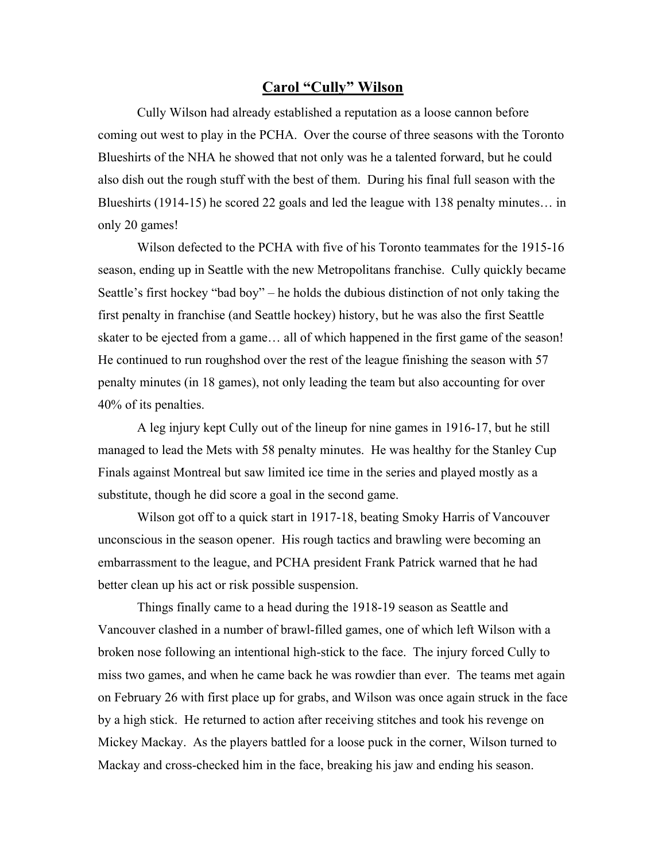## **Carol "Cully" Wilson**

Cully Wilson had already established a reputation as a loose cannon before coming out west to play in the PCHA. Over the course of three seasons with the Toronto Blueshirts of the NHA he showed that not only was he a talented forward, but he could also dish out the rough stuff with the best of them. During his final full season with the Blueshirts (1914-15) he scored 22 goals and led the league with 138 penalty minutes… in only 20 games!

Wilson defected to the PCHA with five of his Toronto teammates for the 1915-16 season, ending up in Seattle with the new Metropolitans franchise. Cully quickly became Seattle's first hockey "bad boy" – he holds the dubious distinction of not only taking the first penalty in franchise (and Seattle hockey) history, but he was also the first Seattle skater to be ejected from a game… all of which happened in the first game of the season! He continued to run roughshod over the rest of the league finishing the season with 57 penalty minutes (in 18 games), not only leading the team but also accounting for over 40% of its penalties.

A leg injury kept Cully out of the lineup for nine games in 1916-17, but he still managed to lead the Mets with 58 penalty minutes. He was healthy for the Stanley Cup Finals against Montreal but saw limited ice time in the series and played mostly as a substitute, though he did score a goal in the second game.

Wilson got off to a quick start in 1917-18, beating Smoky Harris of Vancouver unconscious in the season opener. His rough tactics and brawling were becoming an embarrassment to the league, and PCHA president Frank Patrick warned that he had better clean up his act or risk possible suspension.

Things finally came to a head during the 1918-19 season as Seattle and Vancouver clashed in a number of brawl-filled games, one of which left Wilson with a broken nose following an intentional high-stick to the face. The injury forced Cully to miss two games, and when he came back he was rowdier than ever. The teams met again on February 26 with first place up for grabs, and Wilson was once again struck in the face by a high stick. He returned to action after receiving stitches and took his revenge on Mickey Mackay. As the players battled for a loose puck in the corner, Wilson turned to Mackay and cross-checked him in the face, breaking his jaw and ending his season.